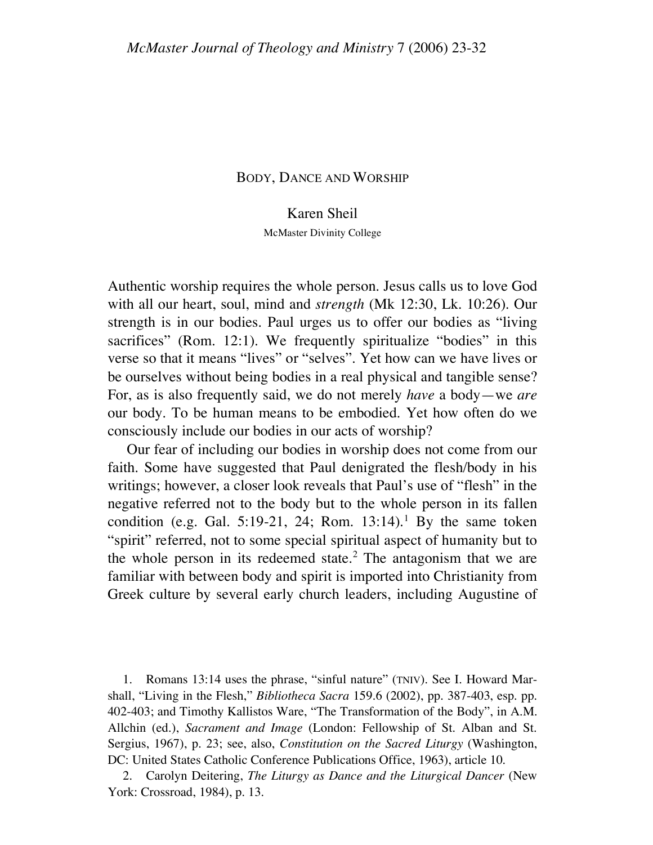## BODY, DANCE AND WORSHIP

## Karen Sheil

McMaster Divinity College

Authentic worship requires the whole person. Jesus calls us to love God with all our heart, soul, mind and *strength* (Mk 12:30, Lk. 10:26). Our strength is in our bodies. Paul urges us to offer our bodies as "living sacrifices" (Rom. 12:1). We frequently spiritualize "bodies" in this verse so that it means "lives" or "selves". Yet how can we have lives or be ourselves without being bodies in a real physical and tangible sense? For, as is also frequently said, we do not merely *have* a body—we *are* our body. To be human means to be embodied. Yet how often do we consciously include our bodies in our acts of worship?

Our fear of including our bodies in worship does not come from our faith. Some have suggested that Paul denigrated the flesh/body in his writings; however, a closer look reveals that Paul's use of "flesh" in the negative referred not to the body but to the whole person in its fallen condition (e.g. Gal. 5:19-21, 24; Rom.  $13:14$ ).<sup>1</sup> By the same token "spirit" referred, not to some special spiritual aspect of humanity but to the whole person in its redeemed state. $2$  The antagonism that we are familiar with between body and spirit is imported into Christianity from Greek culture by several early church leaders, including Augustine of

1. Romans 13:14 uses the phrase, "sinful nature" (TNIV). See I. Howard Marshall, "Living in the Flesh," *Bibliotheca Sacra* 159.6 (2002), pp. 387-403, esp. pp. 402-403; and Timothy Kallistos Ware, "The Transformation of the Body", in A.M. Allchin (ed.), *Sacrament and Image* (London: Fellowship of St. Alban and St. Sergius, 1967), p. 23; see, also, *Constitution on the Sacred Liturgy* (Washington, DC: United States Catholic Conference Publications Office, 1963), article 10.

2. Carolyn Deitering, *The Liturgy as Dance and the Liturgical Dancer* (New York: Crossroad, 1984), p. 13.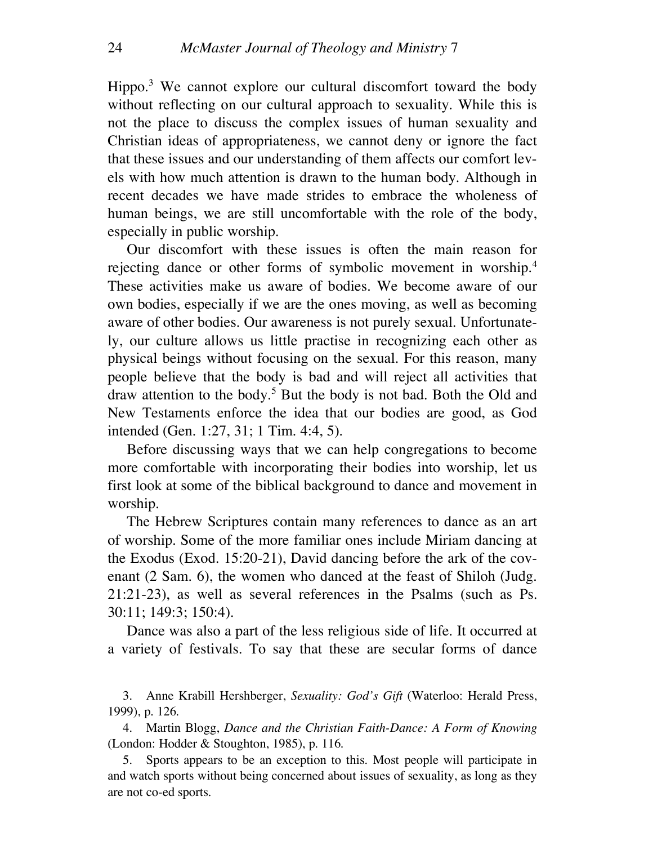Hippo.<sup>3</sup> We cannot explore our cultural discomfort toward the body without reflecting on our cultural approach to sexuality. While this is not the place to discuss the complex issues of human sexuality and Christian ideas of appropriateness, we cannot deny or ignore the fact that these issues and our understanding of them affects our comfort levels with how much attention is drawn to the human body. Although in recent decades we have made strides to embrace the wholeness of human beings, we are still uncomfortable with the role of the body, especially in public worship.

Our discomfort with these issues is often the main reason for rejecting dance or other forms of symbolic movement in worship.4 These activities make us aware of bodies. We become aware of our own bodies, especially if we are the ones moving, as well as becoming aware of other bodies. Our awareness is not purely sexual. Unfortunately, our culture allows us little practise in recognizing each other as physical beings without focusing on the sexual. For this reason, many people believe that the body is bad and will reject all activities that draw attention to the body.5 But the body is not bad. Both the Old and New Testaments enforce the idea that our bodies are good, as God intended (Gen. 1:27, 31; 1 Tim. 4:4, 5).

Before discussing ways that we can help congregations to become more comfortable with incorporating their bodies into worship, let us first look at some of the biblical background to dance and movement in worship.

The Hebrew Scriptures contain many references to dance as an art of worship. Some of the more familiar ones include Miriam dancing at the Exodus (Exod. 15:20-21), David dancing before the ark of the covenant (2 Sam. 6), the women who danced at the feast of Shiloh (Judg. 21:21-23), as well as several references in the Psalms (such as Ps. 30:11; 149:3; 150:4).

Dance was also a part of the less religious side of life. It occurred at a variety of festivals. To say that these are secular forms of dance

3. Anne Krabill Hershberger, *Sexuality: God's Gift* (Waterloo: Herald Press, 1999), p. 126.

4. Martin Blogg, *Dance and the Christian Faith-Dance: A Form of Knowing* (London: Hodder & Stoughton, 1985), p. 116.

5. Sports appears to be an exception to this. Most people will participate in and watch sports without being concerned about issues of sexuality, as long as they are not co-ed sports.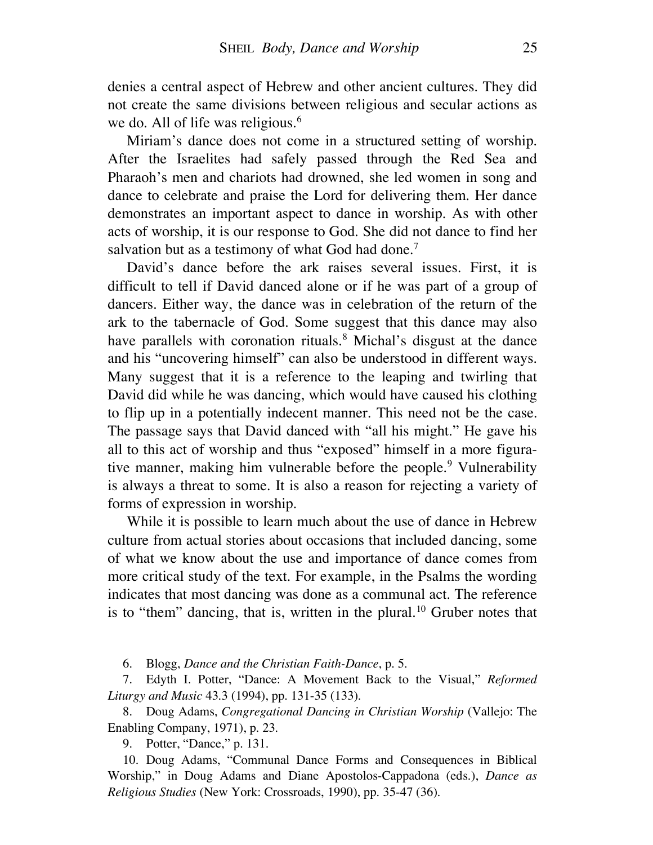denies a central aspect of Hebrew and other ancient cultures. They did not create the same divisions between religious and secular actions as we do. All of life was religious. 6

Miriam's dance does not come in a structured setting of worship. After the Israelites had safely passed through the Red Sea and Pharaoh's men and chariots had drowned, she led women in song and dance to celebrate and praise the Lord for delivering them. Her dance demonstrates an important aspect to dance in worship. As with other acts of worship, it is our response to God. She did not dance to find her salvation but as a testimony of what God had done.<sup>7</sup>

David's dance before the ark raises several issues. First, it is difficult to tell if David danced alone or if he was part of a group of dancers. Either way, the dance was in celebration of the return of the ark to the tabernacle of God. Some suggest that this dance may also have parallels with coronation rituals.<sup>8</sup> Michal's disgust at the dance and his "uncovering himself" can also be understood in different ways. Many suggest that it is a reference to the leaping and twirling that David did while he was dancing, which would have caused his clothing to flip up in a potentially indecent manner. This need not be the case. The passage says that David danced with "all his might." He gave his all to this act of worship and thus "exposed" himself in a more figurative manner, making him vulnerable before the people.<sup>9</sup> Vulnerability is always a threat to some. It is also a reason for rejecting a variety of forms of expression in worship.

While it is possible to learn much about the use of dance in Hebrew culture from actual stories about occasions that included dancing, some of what we know about the use and importance of dance comes from more critical study of the text. For example, in the Psalms the wording indicates that most dancing was done as a communal act. The reference is to "them" dancing, that is, written in the plural.<sup>10</sup> Gruber notes that

6. Blogg, *Dance and the Christian Faith-Dance*, p. 5.

7. Edyth I. Potter, "Dance: A Movement Back to the Visual," *Reformed Liturgy and Music* 43.3 (1994), pp. 131-35 (133).

8. Doug Adams, *Congregational Dancing in Christian Worship* (Vallejo: The Enabling Company, 1971), p. 23.

9. Potter, "Dance," p. 131.

10. Doug Adams, "Communal Dance Forms and Consequences in Biblical Worship," in Doug Adams and Diane Apostolos-Cappadona (eds.), *Dance as Religious Studies* (New York: Crossroads, 1990), pp. 35-47 (36).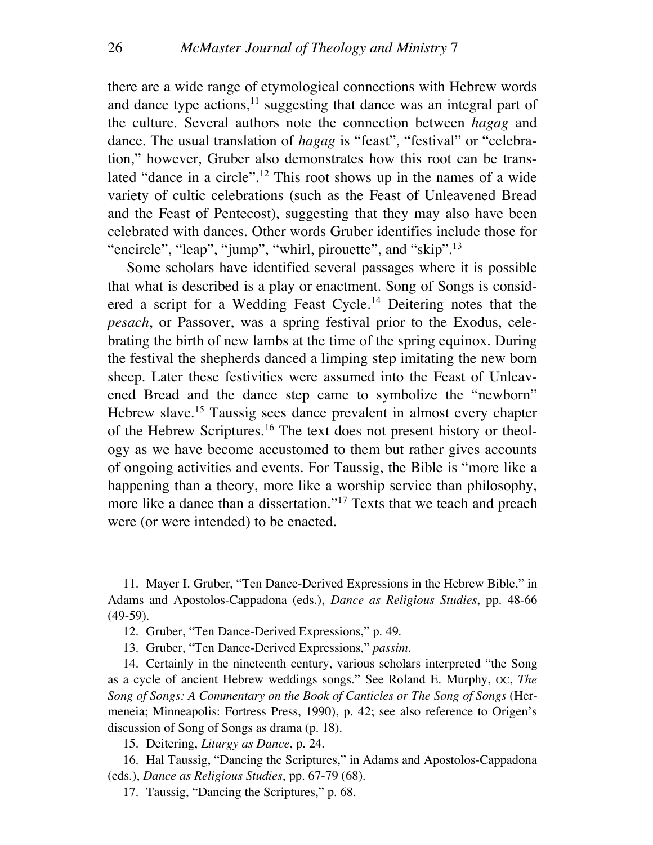there are a wide range of etymological connections with Hebrew words and dance type actions,<sup>11</sup> suggesting that dance was an integral part of the culture. Several authors note the connection between *hagag* and dance. The usual translation of *hagag* is "feast", "festival" or "celebration," however, Gruber also demonstrates how this root can be translated "dance in a circle".<sup>12</sup> This root shows up in the names of a wide variety of cultic celebrations (such as the Feast of Unleavened Bread and the Feast of Pentecost), suggesting that they may also have been celebrated with dances. Other words Gruber identifies include those for "encircle", "leap", "jump", "whirl, pirouette", and "skip".<sup>13</sup>

Some scholars have identified several passages where it is possible that what is described is a play or enactment. Song of Songs is considered a script for a Wedding Feast Cycle.<sup>14</sup> Deitering notes that the *pesach*, or Passover, was a spring festival prior to the Exodus, celebrating the birth of new lambs at the time of the spring equinox. During the festival the shepherds danced a limping step imitating the new born sheep. Later these festivities were assumed into the Feast of Unleavened Bread and the dance step came to symbolize the "newborn" Hebrew slave. <sup>15</sup> Taussig sees dance prevalent in almost every chapter of the Hebrew Scriptures.<sup>16</sup> The text does not present history or theology as we have become accustomed to them but rather gives accounts of ongoing activities and events. For Taussig, the Bible is "more like a happening than a theory, more like a worship service than philosophy, more like a dance than a dissertation."<sup>17</sup> Texts that we teach and preach were (or were intended) to be enacted.

11. Mayer I. Gruber, "Ten Dance-Derived Expressions in the Hebrew Bible," in Adams and Apostolos-Cappadona (eds.), *Dance as Religious Studies*, pp. 48-66 (49-59).

12. Gruber, "Ten Dance-Derived Expressions," p. 49.

13. Gruber, "Ten Dance-Derived Expressions," *passim*.

14. Certainly in the nineteenth century, various scholars interpreted "the Song as a cycle of ancient Hebrew weddings songs." See Roland E. Murphy, OC, *The Song of Songs: A Commentary on the Book of Canticles or The Song of Songs* (Hermeneia; Minneapolis: Fortress Press, 1990), p. 42; see also reference to Origen's discussion of Song of Songs as drama (p. 18).

15. Deitering, *Liturgy as Dance*, p. 24.

16. Hal Taussig, "Dancing the Scriptures," in Adams and Apostolos-Cappadona (eds.), *Dance as Religious Studies*, pp. 67-79 (68).

17. Taussig, "Dancing the Scriptures," p. 68.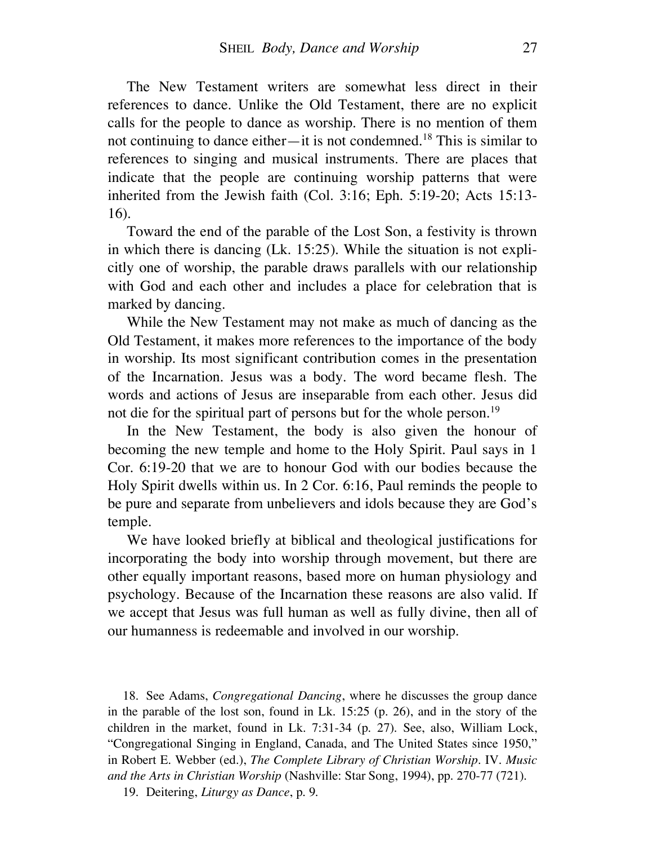The New Testament writers are somewhat less direct in their references to dance. Unlike the Old Testament, there are no explicit calls for the people to dance as worship. There is no mention of them not continuing to dance either—it is not condemned.18 This is similar to references to singing and musical instruments. There are places that indicate that the people are continuing worship patterns that were inherited from the Jewish faith (Col. 3:16; Eph. 5:19-20; Acts 15:13- 16).

Toward the end of the parable of the Lost Son, a festivity is thrown in which there is dancing (Lk. 15:25). While the situation is not explicitly one of worship, the parable draws parallels with our relationship with God and each other and includes a place for celebration that is marked by dancing.

While the New Testament may not make as much of dancing as the Old Testament, it makes more references to the importance of the body in worship. Its most significant contribution comes in the presentation of the Incarnation. Jesus was a body. The word became flesh. The words and actions of Jesus are inseparable from each other. Jesus did not die for the spiritual part of persons but for the whole person.<sup>19</sup>

In the New Testament, the body is also given the honour of becoming the new temple and home to the Holy Spirit. Paul says in 1 Cor. 6:19-20 that we are to honour God with our bodies because the Holy Spirit dwells within us. In 2 Cor. 6:16, Paul reminds the people to be pure and separate from unbelievers and idols because they are God's temple.

We have looked briefly at biblical and theological justifications for incorporating the body into worship through movement, but there are other equally important reasons, based more on human physiology and psychology. Because of the Incarnation these reasons are also valid. If we accept that Jesus was full human as well as fully divine, then all of our humanness is redeemable and involved in our worship.

18. See Adams, *Congregational Dancing*, where he discusses the group dance in the parable of the lost son, found in Lk. 15:25 (p. 26), and in the story of the children in the market, found in Lk. 7:31-34 (p. 27). See, also, William Lock, "Congregational Singing in England, Canada, and The United States since 1950," in Robert E. Webber (ed.), *The Complete Library of Christian Worship*. IV. *Music and the Arts in Christian Worship* (Nashville: Star Song, 1994), pp. 270-77 (721).

19. Deitering, *Liturgy as Dance*, p. 9.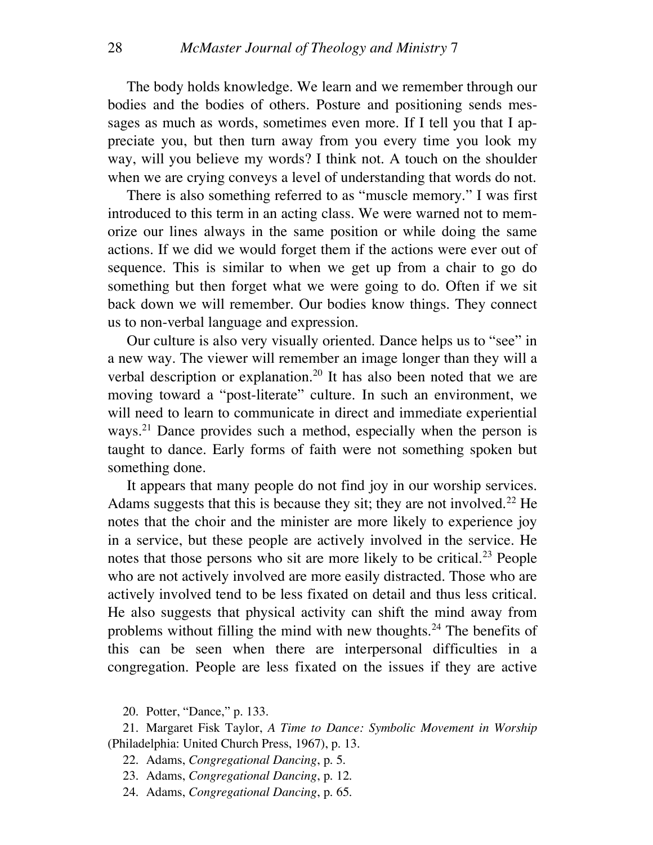The body holds knowledge. We learn and we remember through our bodies and the bodies of others. Posture and positioning sends messages as much as words, sometimes even more. If I tell you that I appreciate you, but then turn away from you every time you look my way, will you believe my words? I think not. A touch on the shoulder when we are crying conveys a level of understanding that words do not.

There is also something referred to as "muscle memory." I was first introduced to this term in an acting class. We were warned not to memorize our lines always in the same position or while doing the same actions. If we did we would forget them if the actions were ever out of sequence. This is similar to when we get up from a chair to go do something but then forget what we were going to do. Often if we sit back down we will remember. Our bodies know things. They connect us to non-verbal language and expression.

Our culture is also very visually oriented. Dance helps us to "see" in a new way. The viewer will remember an image longer than they will a verbal description or explanation.<sup>20</sup> It has also been noted that we are moving toward a "post-literate" culture. In such an environment, we will need to learn to communicate in direct and immediate experiential ways.<sup>21</sup> Dance provides such a method, especially when the person is taught to dance. Early forms of faith were not something spoken but something done.

It appears that many people do not find joy in our worship services. Adams suggests that this is because they sit; they are not involved.<sup>22</sup> He notes that the choir and the minister are more likely to experience joy in a service, but these people are actively involved in the service. He notes that those persons who sit are more likely to be critical.<sup>23</sup> People who are not actively involved are more easily distracted. Those who are actively involved tend to be less fixated on detail and thus less critical. He also suggests that physical activity can shift the mind away from problems without filling the mind with new thoughts.<sup>24</sup> The benefits of this can be seen when there are interpersonal difficulties in a congregation. People are less fixated on the issues if they are active

20. Potter, "Dance," p. 133.

21. Margaret Fisk Taylor, *A Time to Dance: Symbolic Movement in Worship* (Philadelphia: United Church Press, 1967), p. 13.

22. Adams, *Congregational Dancing*, p. 5.

23. Adams, *Congregational Dancing*, p. 12.

24. Adams, *Congregational Dancing*, p. 65.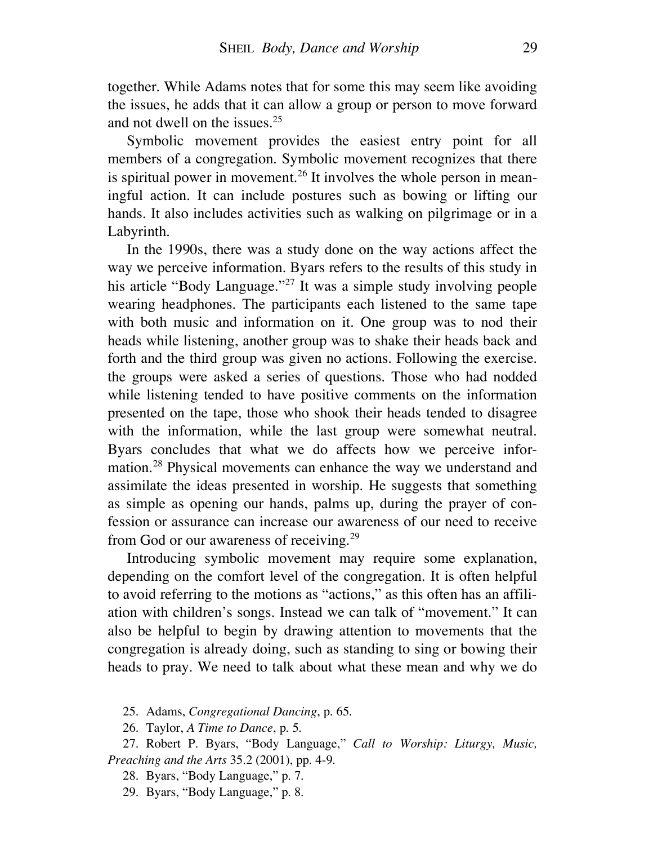together. While Adams notes that for some this may seem like avoiding the issues, he adds that it can allow a group or person to move forward and not dwell on the issues. 25

Symbolic movement provides the easiest entry point for all members of a congregation. Symbolic movement recognizes that there is spiritual power in movement.<sup>26</sup> It involves the whole person in meaningful action. It can include postures such as bowing or lifting our hands. It also includes activities such as walking on pilgrimage or in a Labyrinth.

In the 1990s, there was a study done on the way actions affect the way we perceive information. Byars refers to the results of this study in his article "Body Language."<sup>27</sup> It was a simple study involving people wearing headphones. The participants each listened to the same tape with both music and information on it. One group was to nod their heads while listening, another group was to shake their heads back and forth and the third group was given no actions. Following the exercise. the groups were asked a series of questions. Those who had nodded while listening tended to have positive comments on the information presented on the tape, those who shook their heads tended to disagree with the information, while the last group were somewhat neutral. Byars concludes that what we do affects how we perceive information.28 Physical movements can enhance the way we understand and assimilate the ideas presented in worship. He suggests that something as simple as opening our hands, palms up, during the prayer of confession or assurance can increase our awareness of our need to receive from God or our awareness of receiving.<sup>29</sup>

Introducing symbolic movement may require some explanation, depending on the comfort level of the congregation. It is often helpful to avoid referring to the motions as "actions," as this often has an affiliation with children's songs. Instead we can talk of "movement." It can also be helpful to begin by drawing attention to movements that the congregation is already doing, such as standing to sing or bowing their heads to pray. We need to talk about what these mean and why we do

25. Adams, *Congregational Dancing*, p. 65.

26. Taylor, *A Time to Dance*, p. 5.

27. Robert P. Byars, "Body Language," *Call to Worship: Liturgy, Music, Preaching and the Arts* 35.2 (2001), pp. 4-9.

28. Byars, "Body Language," p. 7.

29. Byars, "Body Language," p. 8.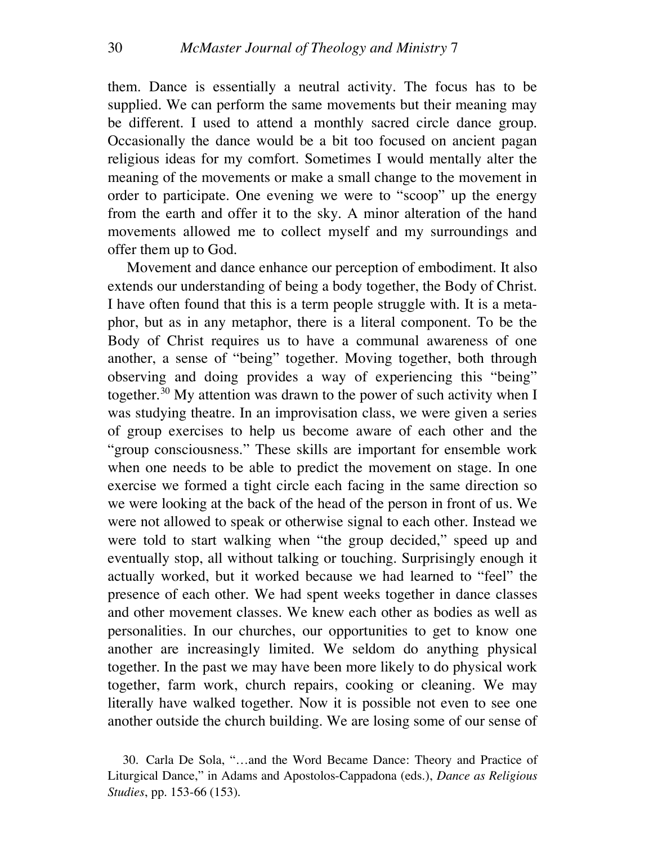them. Dance is essentially a neutral activity. The focus has to be supplied. We can perform the same movements but their meaning may be different. I used to attend a monthly sacred circle dance group. Occasionally the dance would be a bit too focused on ancient pagan religious ideas for my comfort. Sometimes I would mentally alter the meaning of the movements or make a small change to the movement in order to participate. One evening we were to "scoop" up the energy from the earth and offer it to the sky. A minor alteration of the hand movements allowed me to collect myself and my surroundings and offer them up to God.

Movement and dance enhance our perception of embodiment. It also extends our understanding of being a body together, the Body of Christ. I have often found that this is a term people struggle with. It is a metaphor, but as in any metaphor, there is a literal component. To be the Body of Christ requires us to have a communal awareness of one another, a sense of "being" together. Moving together, both through observing and doing provides a way of experiencing this "being" together.<sup>30</sup> My attention was drawn to the power of such activity when I was studying theatre. In an improvisation class, we were given a series of group exercises to help us become aware of each other and the "group consciousness." These skills are important for ensemble work when one needs to be able to predict the movement on stage. In one exercise we formed a tight circle each facing in the same direction so we were looking at the back of the head of the person in front of us. We were not allowed to speak or otherwise signal to each other. Instead we were told to start walking when "the group decided," speed up and eventually stop, all without talking or touching. Surprisingly enough it actually worked, but it worked because we had learned to "feel" the presence of each other. We had spent weeks together in dance classes and other movement classes. We knew each other as bodies as well as personalities. In our churches, our opportunities to get to know one another are increasingly limited. We seldom do anything physical together. In the past we may have been more likely to do physical work together, farm work, church repairs, cooking or cleaning. We may literally have walked together. Now it is possible not even to see one another outside the church building. We are losing some of our sense of

<sup>30.</sup> Carla De Sola, "…and the Word Became Dance: Theory and Practice of Liturgical Dance," in Adams and Apostolos-Cappadona (eds.), *Dance as Religious Studies*, pp. 153-66 (153).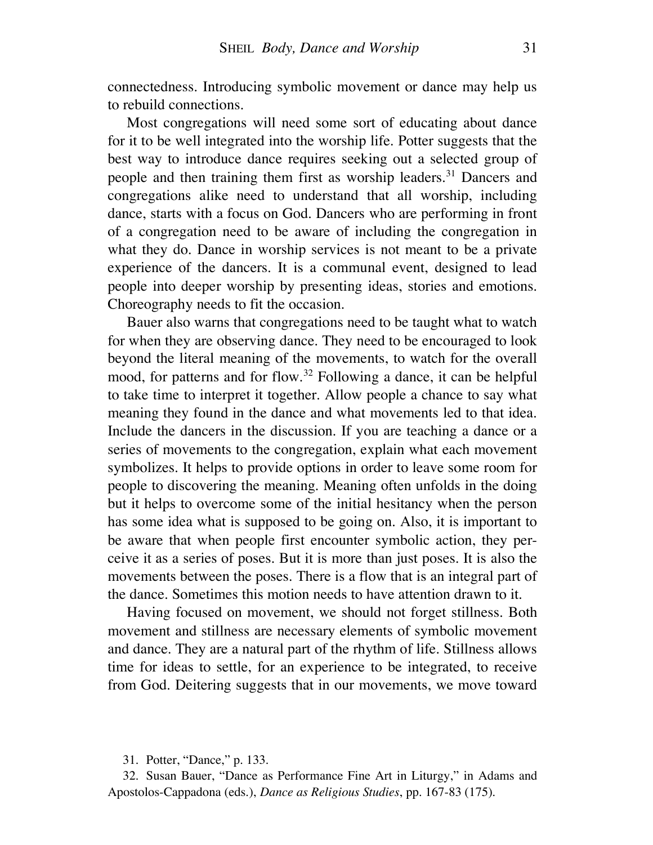connectedness. Introducing symbolic movement or dance may help us to rebuild connections.

Most congregations will need some sort of educating about dance for it to be well integrated into the worship life. Potter suggests that the best way to introduce dance requires seeking out a selected group of people and then training them first as worship leaders.<sup>31</sup> Dancers and congregations alike need to understand that all worship, including dance, starts with a focus on God. Dancers who are performing in front of a congregation need to be aware of including the congregation in what they do. Dance in worship services is not meant to be a private experience of the dancers. It is a communal event, designed to lead people into deeper worship by presenting ideas, stories and emotions. Choreography needs to fit the occasion.

Bauer also warns that congregations need to be taught what to watch for when they are observing dance. They need to be encouraged to look beyond the literal meaning of the movements, to watch for the overall mood, for patterns and for flow. <sup>32</sup> Following a dance, it can be helpful to take time to interpret it together. Allow people a chance to say what meaning they found in the dance and what movements led to that idea. Include the dancers in the discussion. If you are teaching a dance or a series of movements to the congregation, explain what each movement symbolizes. It helps to provide options in order to leave some room for people to discovering the meaning. Meaning often unfolds in the doing but it helps to overcome some of the initial hesitancy when the person has some idea what is supposed to be going on. Also, it is important to be aware that when people first encounter symbolic action, they perceive it as a series of poses. But it is more than just poses. It is also the movements between the poses. There is a flow that is an integral part of the dance. Sometimes this motion needs to have attention drawn to it.

Having focused on movement, we should not forget stillness. Both movement and stillness are necessary elements of symbolic movement and dance. They are a natural part of the rhythm of life. Stillness allows time for ideas to settle, for an experience to be integrated, to receive from God. Deitering suggests that in our movements, we move toward

31. Potter, "Dance," p. 133.

<sup>32.</sup> Susan Bauer, "Dance as Performance Fine Art in Liturgy," in Adams and Apostolos-Cappadona (eds.), *Dance as Religious Studies*, pp. 167-83 (175).